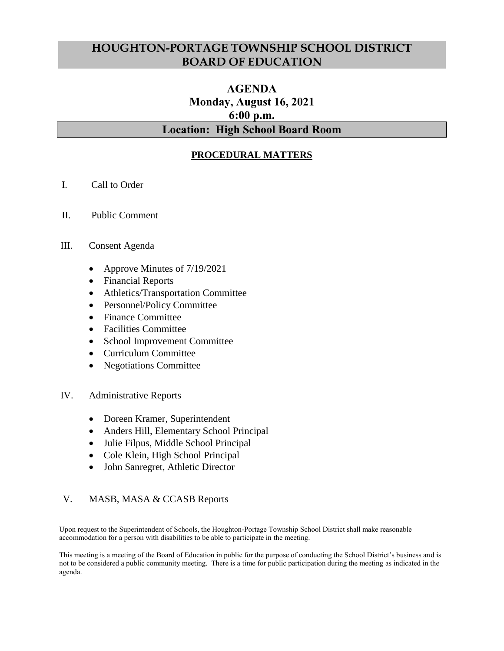## **HOUGHTON-PORTAGE TOWNSHIP SCHOOL DISTRICT BOARD OF EDUCATION**

# **AGENDA Monday, August 16, 2021 6:00 p.m. Location: High School Board Room**

## **PROCEDURAL MATTERS**

- I. Call to Order
- II. Public Comment

### III. Consent Agenda

- Approve Minutes of 7/19/2021
- Financial Reports
- Athletics/Transportation Committee
- Personnel/Policy Committee
- Finance Committee
- Facilities Committee
- School Improvement Committee
- Curriculum Committee
- Negotiations Committee

### IV. Administrative Reports

- Doreen Kramer, Superintendent
- Anders Hill, Elementary School Principal
- Julie Filpus, Middle School Principal
- Cole Klein, High School Principal
- John Sanregret, Athletic Director

### V. MASB, MASA & CCASB Reports

Upon request to the Superintendent of Schools, the Houghton-Portage Township School District shall make reasonable accommodation for a person with disabilities to be able to participate in the meeting.

This meeting is a meeting of the Board of Education in public for the purpose of conducting the School District's business and is not to be considered a public community meeting. There is a time for public participation during the meeting as indicated in the agenda.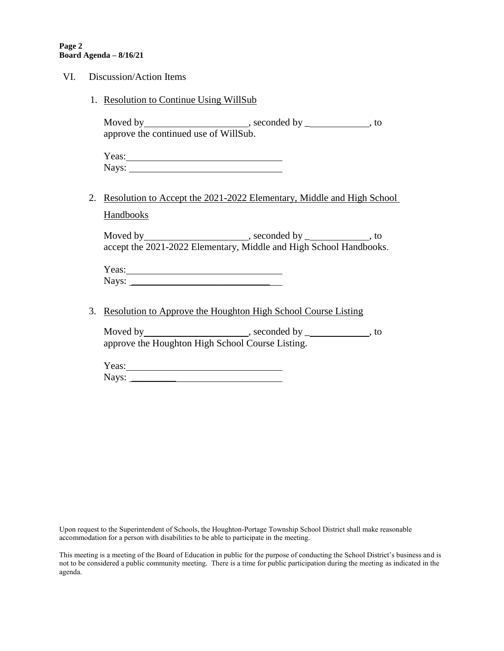#### **Page 2 Board Agenda – 8/16/21**

| VI. | Discussion/Action Items |                                                                          |  |  |
|-----|-------------------------|--------------------------------------------------------------------------|--|--|
|     |                         | 1. Resolution to Continue Using WillSub                                  |  |  |
|     |                         | approve the continued use of WillSub.                                    |  |  |
|     |                         |                                                                          |  |  |
|     |                         | 2. Resolution to Accept the 2021-2022 Elementary, Middle and High School |  |  |
|     |                         | <b>Handbooks</b>                                                         |  |  |
|     |                         | accept the 2021-2022 Elementary, Middle and High School Handbooks.       |  |  |
|     |                         | Yeas:                                                                    |  |  |
|     |                         | 3. Resolution to Approve the Houghton High School Course Listing         |  |  |
|     |                         | approve the Houghton High School Course Listing.                         |  |  |
|     |                         | Yeas:                                                                    |  |  |

Upon request to the Superintendent of Schools, the Houghton-Portage Township School District shall make reasonable accommodation for a person with disabilities to be able to participate in the meeting.

This meeting is a meeting of the Board of Education in public for the purpose of conducting the School District's business and is not to be considered a public community meeting. There is a time for public participation during the meeting as indicated in the agenda.